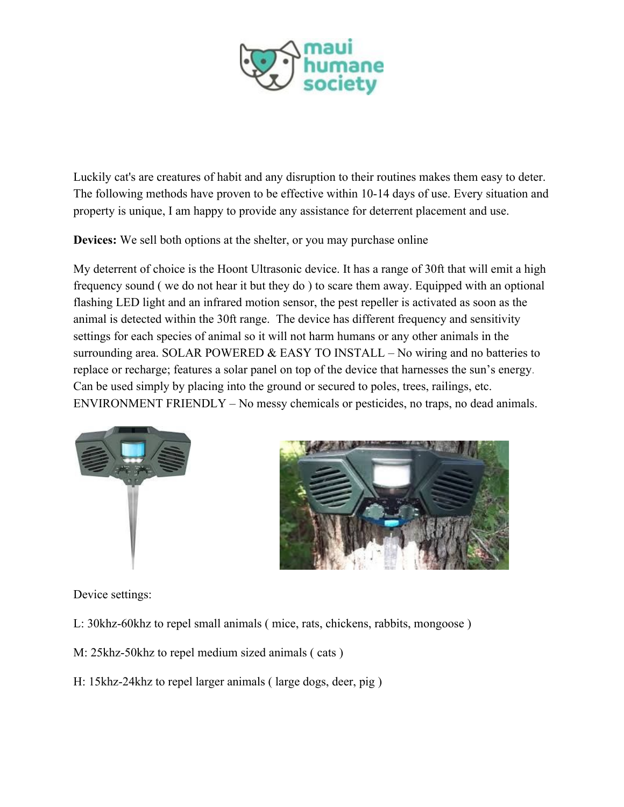

Luckily cat's are creatures of habit and any disruption to their routines makes them easy to deter. The following methods have proven to be effective within 10-14 days of use. Every situation and property is unique, I am happy to provide any assistance for deterrent placement and use.

**Devices:** We sell both options at the shelter, or you may purchase online

My deterrent of choice is the Hoont Ultrasonic device. It has a range of 30ft that will emit a high frequency sound ( we do not hear it but they do ) to scare them away. Equipped with an optional flashing LED light and an infrared motion sensor, the pest repeller is activated as soon as the animal is detected within the 30ft range. The device has different frequency and sensitivity settings for each species of animal so it will not harm humans or any other animals in the surrounding area. SOLAR POWERED & EASY TO INSTALL – No wiring and no batteries to replace or recharge; features a solar panel on top of the device that harnesses the sun's energy. Can be used simply by placing into the ground or secured to poles, trees, railings, etc. ENVIRONMENT FRIENDLY – No messy chemicals or pesticides, no traps, no dead animals.





Device settings:

- L: 30khz-60khz to repel small animals ( mice, rats, chickens, rabbits, mongoose )
- M: 25khz-50khz to repel medium sized animals ( cats )
- H: 15khz-24khz to repel larger animals ( large dogs, deer, pig )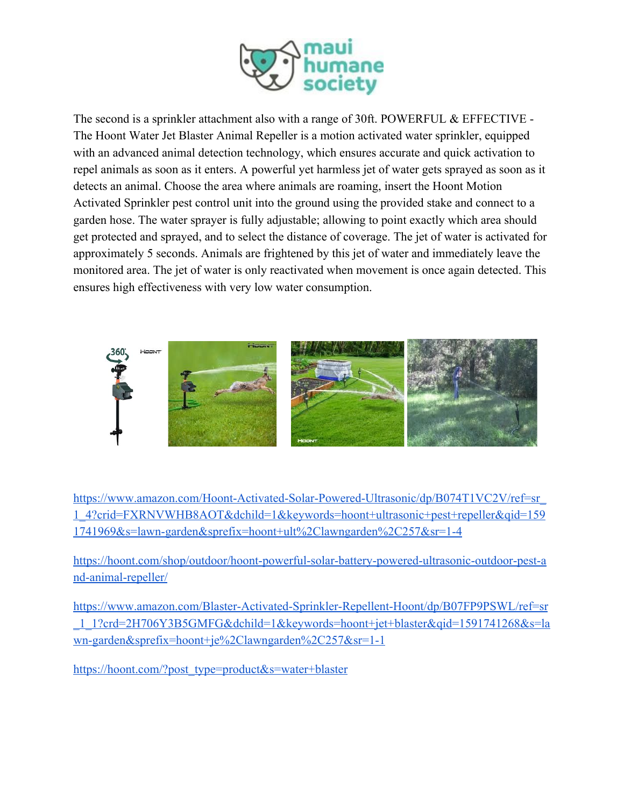

The second is a sprinkler attachment also with a range of 30ft. POWERFUL & EFFECTIVE -The Hoont Water Jet Blaster Animal Repeller is a motion activated water sprinkler, equipped with an advanced animal detection technology, which ensures accurate and quick activation to repel animals as soon as it enters. A powerful yet harmless jet of water gets sprayed as soon as it detects an animal. Choose the area where animals are roaming, insert the Hoont Motion Activated Sprinkler pest control unit into the ground using the provided stake and connect to a garden hose. The water sprayer is fully adjustable; allowing to point exactly which area should get protected and sprayed, and to select the distance of coverage. The jet of water is activated for approximately 5 seconds. Animals are frightened by this jet of water and immediately leave the monitored area. The jet of water is only reactivated when movement is once again detected. This ensures high effectiveness with very low water consumption.



[https://www.amazon.com/Hoont-Activated-Solar-Powered-Ultrasonic/dp/B074T1VC2V/ref=sr\\_](https://www.amazon.com/Hoont-Activated-Solar-Powered-Ultrasonic/dp/B074T1VC2V/ref=sr_1_4?crid=FXRNVWHB8AOT&dchild=1&keywords=hoont+ultrasonic+pest+repeller&qid=1591741969&s=lawn-garden&sprefix=hoont+ult%2Clawngarden%2C257&sr=1-4) [1\\_4?crid=FXRNVWHB8AOT&dchild=1&keywords=hoont+ultrasonic+pest+repeller&qid=159](https://www.amazon.com/Hoont-Activated-Solar-Powered-Ultrasonic/dp/B074T1VC2V/ref=sr_1_4?crid=FXRNVWHB8AOT&dchild=1&keywords=hoont+ultrasonic+pest+repeller&qid=1591741969&s=lawn-garden&sprefix=hoont+ult%2Clawngarden%2C257&sr=1-4) [1741969&s=lawn-garden&sprefix=hoont+ult%2Clawngarden%2C257&sr=1-4](https://www.amazon.com/Hoont-Activated-Solar-Powered-Ultrasonic/dp/B074T1VC2V/ref=sr_1_4?crid=FXRNVWHB8AOT&dchild=1&keywords=hoont+ultrasonic+pest+repeller&qid=1591741969&s=lawn-garden&sprefix=hoont+ult%2Clawngarden%2C257&sr=1-4)

[https://hoont.com/shop/outdoor/hoont-powerful-solar-battery-powered-ultrasonic-outdoor-pest-a](https://hoont.com/shop/outdoor/hoont-powerful-solar-battery-powered-ultrasonic-outdoor-pest-and-animal-repeller/) [nd-animal-repeller/](https://hoont.com/shop/outdoor/hoont-powerful-solar-battery-powered-ultrasonic-outdoor-pest-and-animal-repeller/)

[https://www.amazon.com/Blaster-Activated-Sprinkler-Repellent-Hoont/dp/B07FP9PSWL/ref=sr](https://www.amazon.com/Blaster-Activated-Sprinkler-Repellent-Hoont/dp/B07FP9PSWL/ref=sr_1_1?crid=2H706Y3B5GMFG&dchild=1&keywords=hoont+jet+blaster&qid=1591741268&s=lawn-garden&sprefix=hoont+je%2Clawngarden%2C257&sr=1-1) [\\_1\\_1?crd=2H706Y3B5GMFG&dchild=1&keywords=hoont+jet+blaster&qid=1591741268&s=la](https://www.amazon.com/Blaster-Activated-Sprinkler-Repellent-Hoont/dp/B07FP9PSWL/ref=sr_1_1?crid=2H706Y3B5GMFG&dchild=1&keywords=hoont+jet+blaster&qid=1591741268&s=lawn-garden&sprefix=hoont+je%2Clawngarden%2C257&sr=1-1) [wn-garden&sprefix=hoont+je%2Clawngarden%2C257&sr=1-1](https://www.amazon.com/Blaster-Activated-Sprinkler-Repellent-Hoont/dp/B07FP9PSWL/ref=sr_1_1?crid=2H706Y3B5GMFG&dchild=1&keywords=hoont+jet+blaster&qid=1591741268&s=lawn-garden&sprefix=hoont+je%2Clawngarden%2C257&sr=1-1)

[https://hoont.com/?post\\_type=product&s=water+blaster](https://hoont.com/?post_type=product&s=water+blaster)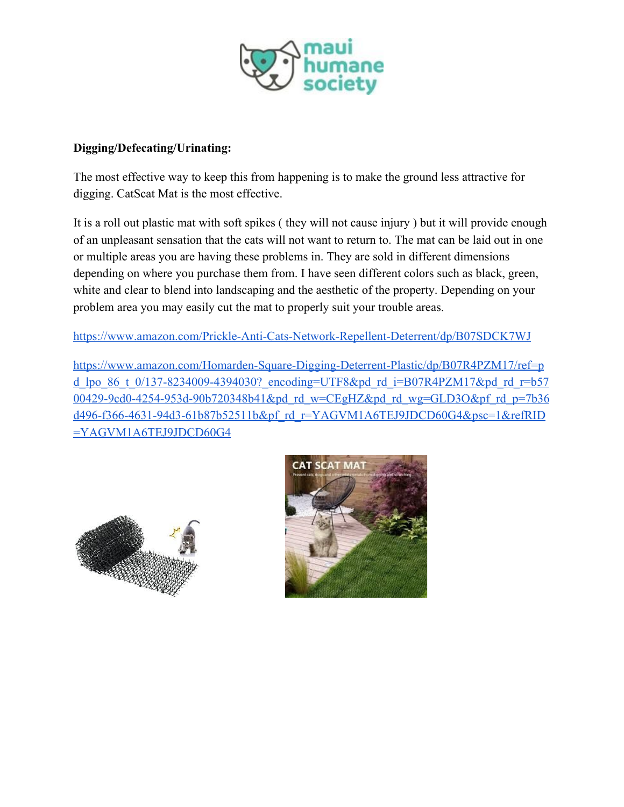

## **Digging/Defecating/Urinating:**

The most effective way to keep this from happening is to make the ground less attractive for digging. CatScat Mat is the most effective.

It is a roll out plastic mat with soft spikes ( they will not cause injury ) but it will provide enough of an unpleasant sensation that the cats will not want to return to. The mat can be laid out in one or multiple areas you are having these problems in. They are sold in different dimensions depending on where you purchase them from. I have seen different colors such as black, green, white and clear to blend into landscaping and the aesthetic of the property. Depending on your problem area you may easily cut the mat to properly suit your trouble areas.

<https://www.amazon.com/Prickle-Anti-Cats-Network-Repellent-Deterrent/dp/B07SDCK7WJ>

[https://www.amazon.com/Homarden-Square-Digging-Deterrent-Plastic/dp/B07R4PZM17/ref=p](https://www.amazon.com/Homarden-Square-Digging-Deterrent-Plastic/dp/B07R4PZM17/ref=pd_lpo_86_t_0/137-8234009-4394030?_encoding=UTF8&pd_rd_i=B07R4PZM17&pd_rd_r=b5700429-9cd0-4254-953d-90b720348b41&pd_rd_w=CEgHZ&pd_rd_wg=GLD3O&pf_rd_p=7b36d496-f366-4631-94d3-61b87b52511b&pf_rd_r=YAGVM1A6TEJ9JDCD60G4&psc=1&refRID=YAGVM1A6TEJ9JDCD60G4) d lpo 86 t 0/137-8234009-4394030? encoding=UTF8&pd rd i=B07R4PZM17&pd rd r=b57 [00429-9cd0-4254-953d-90b720348b41&pd\\_rd\\_w=CEgHZ&pd\\_rd\\_wg=GLD3O&pf\\_rd\\_p=7b36](https://www.amazon.com/Homarden-Square-Digging-Deterrent-Plastic/dp/B07R4PZM17/ref=pd_lpo_86_t_0/137-8234009-4394030?_encoding=UTF8&pd_rd_i=B07R4PZM17&pd_rd_r=b5700429-9cd0-4254-953d-90b720348b41&pd_rd_w=CEgHZ&pd_rd_wg=GLD3O&pf_rd_p=7b36d496-f366-4631-94d3-61b87b52511b&pf_rd_r=YAGVM1A6TEJ9JDCD60G4&psc=1&refRID=YAGVM1A6TEJ9JDCD60G4) [d496-f366-4631-94d3-61b87b52511b&pf\\_rd\\_r=YAGVM1A6TEJ9JDCD60G4&psc=1&refRID](https://www.amazon.com/Homarden-Square-Digging-Deterrent-Plastic/dp/B07R4PZM17/ref=pd_lpo_86_t_0/137-8234009-4394030?_encoding=UTF8&pd_rd_i=B07R4PZM17&pd_rd_r=b5700429-9cd0-4254-953d-90b720348b41&pd_rd_w=CEgHZ&pd_rd_wg=GLD3O&pf_rd_p=7b36d496-f366-4631-94d3-61b87b52511b&pf_rd_r=YAGVM1A6TEJ9JDCD60G4&psc=1&refRID=YAGVM1A6TEJ9JDCD60G4) [=YAGVM1A6TEJ9JDCD60G4](https://www.amazon.com/Homarden-Square-Digging-Deterrent-Plastic/dp/B07R4PZM17/ref=pd_lpo_86_t_0/137-8234009-4394030?_encoding=UTF8&pd_rd_i=B07R4PZM17&pd_rd_r=b5700429-9cd0-4254-953d-90b720348b41&pd_rd_w=CEgHZ&pd_rd_wg=GLD3O&pf_rd_p=7b36d496-f366-4631-94d3-61b87b52511b&pf_rd_r=YAGVM1A6TEJ9JDCD60G4&psc=1&refRID=YAGVM1A6TEJ9JDCD60G4)



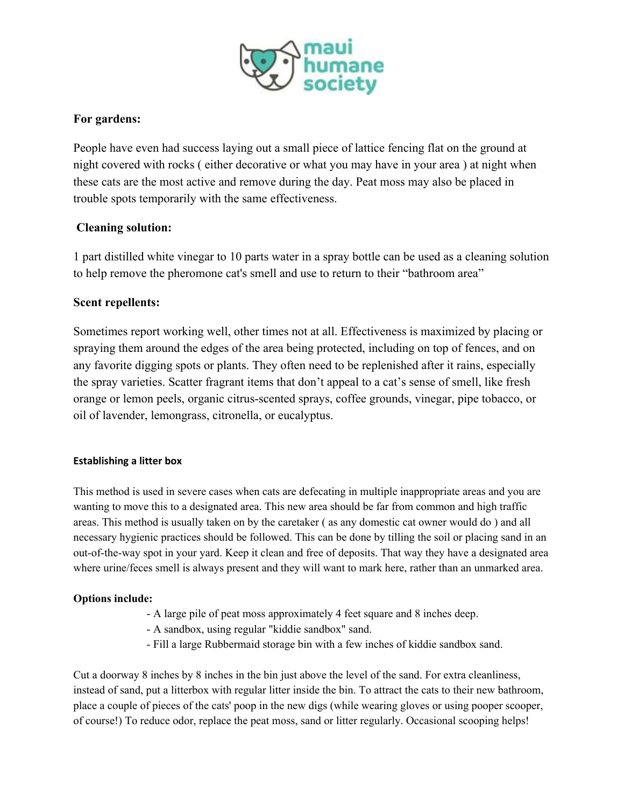

# **For gardens:**

People have even had success laying out a small piece of lattice fencing flat on the ground at night covered with rocks ( either decorative or what you may have in your area ) at night when these cats are the most active and remove during the day. Peat moss may also be placed in trouble spots temporarily with the same effectiveness.

### **Cleaning solution:**

1 part distilled white vinegar to 10 parts water in a spray bottle can be used as a cleaning solution to help remove the pheromone cat's smell and use to return to their "bathroom area"

### **Scent repellents:**

Sometimes report working well, other times not at all. Effectiveness is maximized by placing or spraying them around the edges of the area being protected, including on top of fences, and on any favorite digging spots or plants. They often need to be replenished after it rains, especially the spray varieties. Scatter fragrant items that don't appeal to a cat's sense of smell, like fresh orange or lemon peels, organic citrus-scented sprays, coffee grounds, vinegar, pipe tobacco, or oil of lavender, lemongrass, citronella, or eucalyptus.

### **Establishing a litter box**

This method is used in severe cases when cats are defecating in multiple inappropriate areas and you are wanting to move this to a designated area. This new area should be far from common and high traffic areas. This method is usually taken on by the caretaker ( as any domestic cat owner would do ) and all necessary hygienic practices should be followed. This can be done by tilling the soil or placing sand in an out-of-the-way spot in your yard. Keep it clean and free of deposits. That way they have a designated area where urine/feces smell is always present and they will want to mark here, rather than an unmarked area.

### **Options include:**

- A large pile of peat moss approximately 4 feet square and 8 inches deep.
- A sandbox, using regular "kiddie sandbox" sand.
- Fill a large Rubbermaid storage bin with a few inches of kiddie sandbox sand.

Cut a doorway 8 inches by 8 inches in the bin just above the level of the sand. For extra cleanliness, instead of sand, put a litterbox with regular litter inside the bin. To attract the cats to their new bathroom, place a couple of pieces of the cats' poop in the new digs (while wearing gloves or using pooper scooper, of course!) To reduce odor, replace the peat moss, sand or litter regularly. Occasional scooping helps!